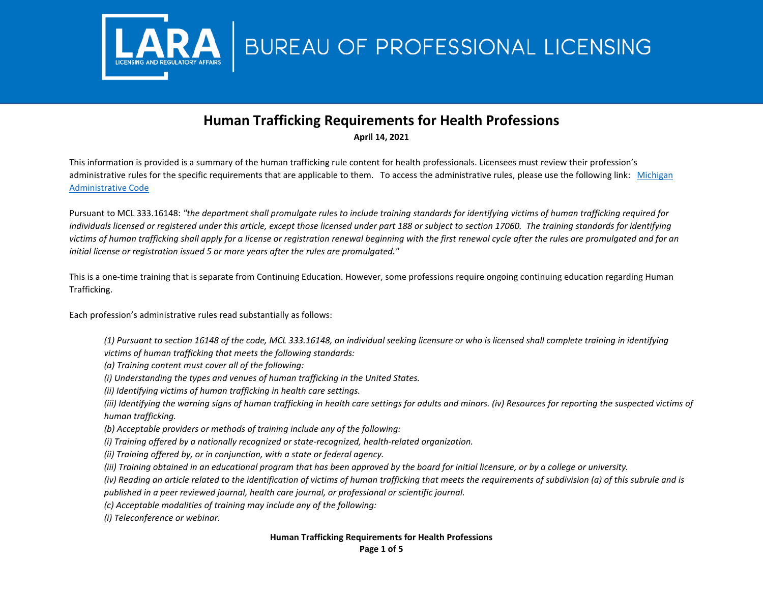

## BUREAU OF PROFESSIONAL LICENSING

## **Human Trafficking Requirements for Health Professions April 14, 2021**

This information is provided is a summary of the human trafficking rule content for health professionals. Licensees must review their profession's administrative rules for the specific requirements that are applicable to them. To access the administrative rules, please use the following link: [Michigan](https://ars.apps.lara.state.mi.us/AdminCode/DeptBureauAdminCode?Department=Licensing%20and%20Regulatory%20Affairs&Bureau=Bureau%20of%20Professional%20Licensing)  [Administrative Code](https://ars.apps.lara.state.mi.us/AdminCode/DeptBureauAdminCode?Department=Licensing%20and%20Regulatory%20Affairs&Bureau=Bureau%20of%20Professional%20Licensing)

Pursuant to MCL 333.16148: *"the department shall promulgate rules to include training standards for identifying victims of human trafficking required for*  individuals licensed or registered under this article, except those licensed under part 188 or subject to section 17060. The training standards for identifying *victims of human trafficking shall apply for a license or registration renewal beginning with the first renewal cycle after the rules are promulgated and for an initial license or registration issued 5 or more years after the rules are promulgated."*

This is a one-time training that is separate from Continuing Education. However, some professions require ongoing continuing education regarding Human Trafficking.

Each profession's administrative rules read substantially as follows:

- *(1) Pursuant to section 16148 of the code, MCL 333.16148, an individual seeking licensure or who is licensed shall complete training in identifying victims of human trafficking that meets the following standards:*
- *(a) Training content must cover all of the following:*
- *(i) Understanding the types and venues of human trafficking in the United States.*
- *(ii) Identifying victims of human trafficking in health care settings.*
- *(iii) Identifying the warning signs of human trafficking in health care settings for adults and minors. (iv) Resources for reporting the suspected victims of human trafficking.*
- *(b) Acceptable providers or methods of training include any of the following:*
- *(i) Training offered by a nationally recognized or state-recognized, health-related organization.*
- *(ii) Training offered by, or in conjunction, with a state or federal agency.*
- *(iii) Training obtained in an educational program that has been approved by the board for initial licensure, or by a college or university.*
- *(iv) Reading an article related to the identification of victims of human trafficking that meets the requirements of subdivision (a) of this subrule and is*
- *published in a peer reviewed journal, health care journal, or professional or scientific journal.*
- *(c) Acceptable modalities of training may include any of the following:*
- *(i) Teleconference or webinar.*

## **Human Trafficking Requirements for Health Professions**

**Page 1 of 5**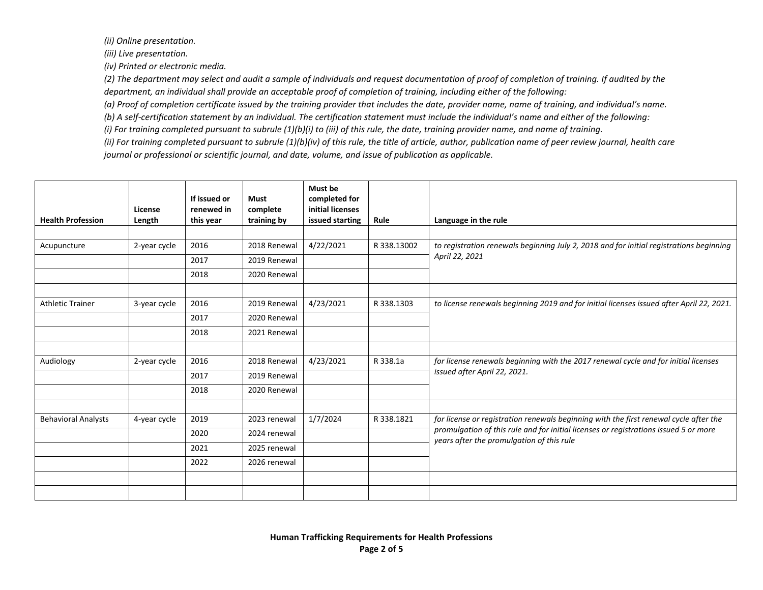*(ii) Online presentation.* 

*(iii) Live presentation.* 

*(iv) Printed or electronic media.* 

*(2) The department may select and audit a sample of individuals and request documentation of proof of completion of training. If audited by the department, an individual shall provide an acceptable proof of completion of training, including either of the following:* 

*(a) Proof of completion certificate issued by the training provider that includes the date, provider name, name of training, and individual's name.* 

*(b) A self-certification statement by an individual. The certification statement must include the individual's name and either of the following:* 

*(i) For training completed pursuant to subrule (1)(b)(i) to (iii) of this rule, the date, training provider name, and name of training.* 

*(ii) For training completed pursuant to subrule (1)(b)(iv) of this rule, the title of article, author, publication name of peer review journal, health care journal or professional or scientific journal, and date, volume, and issue of publication as applicable.*

| <b>Health Profession</b>   | License<br>Length | If issued or<br>renewed in<br>this year | <b>Must</b><br>complete<br>training by | Must be<br>completed for<br>initial licenses<br>issued starting | Rule        | Language in the rule                                                                                                              |
|----------------------------|-------------------|-----------------------------------------|----------------------------------------|-----------------------------------------------------------------|-------------|-----------------------------------------------------------------------------------------------------------------------------------|
|                            |                   |                                         |                                        |                                                                 |             |                                                                                                                                   |
| Acupuncture                | 2-year cycle      | 2016                                    | 2018 Renewal                           | 4/22/2021                                                       | R 338.13002 | to registration renewals beginning July 2, 2018 and for initial registrations beginning                                           |
|                            |                   | 2017                                    | 2019 Renewal                           |                                                                 |             | April 22, 2021                                                                                                                    |
|                            |                   | 2018                                    | 2020 Renewal                           |                                                                 |             |                                                                                                                                   |
|                            |                   |                                         |                                        |                                                                 |             |                                                                                                                                   |
| <b>Athletic Trainer</b>    | 3-year cycle      | 2016                                    | 2019 Renewal                           | 4/23/2021                                                       | R 338.1303  | to license renewals beginning 2019 and for initial licenses issued after April 22, 2021.                                          |
|                            |                   | 2017                                    | 2020 Renewal                           |                                                                 |             |                                                                                                                                   |
|                            |                   | 2018                                    | 2021 Renewal                           |                                                                 |             |                                                                                                                                   |
|                            |                   |                                         |                                        |                                                                 |             |                                                                                                                                   |
| Audiology                  | 2-year cycle      | 2016                                    | 2018 Renewal                           | 4/23/2021                                                       | R 338.1a    | for license renewals beginning with the 2017 renewal cycle and for initial licenses                                               |
|                            |                   | 2017                                    | 2019 Renewal                           |                                                                 |             | issued after April 22, 2021.                                                                                                      |
|                            |                   | 2018                                    | 2020 Renewal                           |                                                                 |             |                                                                                                                                   |
|                            |                   |                                         |                                        |                                                                 |             |                                                                                                                                   |
| <b>Behavioral Analysts</b> | 4-year cycle      | 2019                                    | 2023 renewal                           | 1/7/2024                                                        | R 338.1821  | for license or registration renewals beginning with the first renewal cycle after the                                             |
|                            |                   | 2020                                    | 2024 renewal                           |                                                                 |             | promulgation of this rule and for initial licenses or registrations issued 5 or more<br>years after the promulgation of this rule |
|                            |                   | 2021                                    | 2025 renewal                           |                                                                 |             |                                                                                                                                   |
|                            |                   | 2022                                    | 2026 renewal                           |                                                                 |             |                                                                                                                                   |
|                            |                   |                                         |                                        |                                                                 |             |                                                                                                                                   |
|                            |                   |                                         |                                        |                                                                 |             |                                                                                                                                   |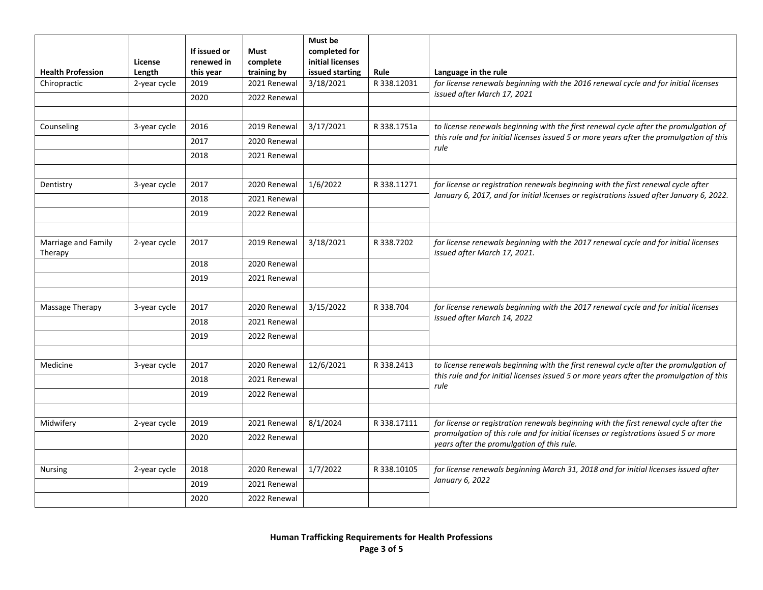| <b>Health Profession</b>       | License<br>Length | If issued or<br>renewed in<br>this year | <b>Must</b><br>complete<br>training by | Must be<br>completed for<br>initial licenses<br>issued starting | Rule        | Language in the rule                                                                                                               |
|--------------------------------|-------------------|-----------------------------------------|----------------------------------------|-----------------------------------------------------------------|-------------|------------------------------------------------------------------------------------------------------------------------------------|
| Chiropractic                   | 2-year cycle      | 2019                                    | 2021 Renewal                           | 3/18/2021                                                       | R 338.12031 | for license renewals beginning with the 2016 renewal cycle and for initial licenses                                                |
|                                |                   | 2020                                    | 2022 Renewal                           |                                                                 |             | issued after March 17, 2021                                                                                                        |
|                                |                   |                                         |                                        |                                                                 |             |                                                                                                                                    |
| Counseling                     | 3-year cycle      | 2016                                    | 2019 Renewal                           | 3/17/2021                                                       | R 338.1751a | to license renewals beginning with the first renewal cycle after the promulgation of                                               |
|                                |                   | 2017                                    | 2020 Renewal                           |                                                                 |             | this rule and for initial licenses issued 5 or more years after the promulgation of this<br>rule                                   |
|                                |                   | 2018                                    | 2021 Renewal                           |                                                                 |             |                                                                                                                                    |
|                                |                   |                                         |                                        |                                                                 |             |                                                                                                                                    |
| Dentistry                      | 3-year cycle      | 2017                                    | 2020 Renewal                           | 1/6/2022                                                        | R 338.11271 | for license or registration renewals beginning with the first renewal cycle after                                                  |
|                                |                   | 2018                                    | 2021 Renewal                           |                                                                 |             | January 6, 2017, and for initial licenses or registrations issued after January 6, 2022.                                           |
|                                |                   | 2019                                    | 2022 Renewal                           |                                                                 |             |                                                                                                                                    |
|                                |                   |                                         |                                        |                                                                 |             |                                                                                                                                    |
| Marriage and Family<br>Therapy | 2-year cycle      | 2017                                    | 2019 Renewal                           | 3/18/2021                                                       | R 338.7202  | for license renewals beginning with the 2017 renewal cycle and for initial licenses<br>issued after March 17, 2021.                |
|                                |                   | 2018                                    | 2020 Renewal                           |                                                                 |             |                                                                                                                                    |
|                                |                   | 2019                                    | 2021 Renewal                           |                                                                 |             |                                                                                                                                    |
| Massage Therapy                | 3-year cycle      | 2017                                    | 2020 Renewal                           | 3/15/2022                                                       | R 338.704   | for license renewals beginning with the 2017 renewal cycle and for initial licenses                                                |
|                                |                   | 2018                                    | 2021 Renewal                           |                                                                 |             | issued after March 14, 2022                                                                                                        |
|                                |                   | 2019                                    | 2022 Renewal                           |                                                                 |             |                                                                                                                                    |
| Medicine                       | 3-year cycle      | 2017                                    | 2020 Renewal                           | 12/6/2021                                                       | R 338.2413  | to license renewals beginning with the first renewal cycle after the promulgation of                                               |
|                                |                   | 2018                                    | 2021 Renewal                           |                                                                 |             | this rule and for initial licenses issued 5 or more years after the promulgation of this                                           |
|                                |                   | 2019                                    | 2022 Renewal                           |                                                                 |             | rule                                                                                                                               |
|                                |                   |                                         |                                        |                                                                 |             |                                                                                                                                    |
| Midwifery                      | 2-year cycle      | 2019                                    | 2021 Renewal                           | 8/1/2024                                                        | R 338.17111 | for license or registration renewals beginning with the first renewal cycle after the                                              |
|                                |                   | 2020                                    | 2022 Renewal                           |                                                                 |             | promulgation of this rule and for initial licenses or registrations issued 5 or more<br>years after the promulgation of this rule. |
|                                |                   |                                         |                                        |                                                                 |             |                                                                                                                                    |
| <b>Nursing</b>                 | 2-year cycle      | 2018                                    | 2020 Renewal                           | 1/7/2022                                                        | R 338.10105 | for license renewals beginning March 31, 2018 and for initial licenses issued after<br>January 6, 2022                             |
|                                |                   | 2019                                    | 2021 Renewal                           |                                                                 |             |                                                                                                                                    |
|                                |                   | 2020                                    | 2022 Renewal                           |                                                                 |             |                                                                                                                                    |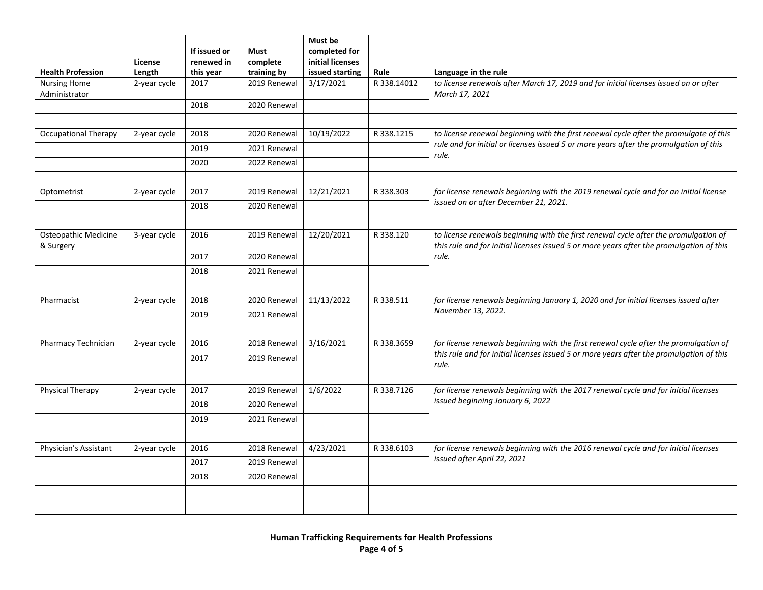| <b>Health Profession</b>                 | License<br>Length    | If issued or<br>renewed in<br>this year | Must<br>complete<br>training by | Must be<br>completed for<br>initial licenses<br>issued starting | Rule        | Language in the rule                                                                                                                                                              |
|------------------------------------------|----------------------|-----------------------------------------|---------------------------------|-----------------------------------------------------------------|-------------|-----------------------------------------------------------------------------------------------------------------------------------------------------------------------------------|
| <b>Nursing Home</b><br>Administrator     | 2-year cycle         | 2017                                    | 2019 Renewal                    | 3/17/2021                                                       | R 338.14012 | to license renewals after March 17, 2019 and for initial licenses issued on or after<br>March 17, 2021                                                                            |
|                                          |                      | 2018                                    | 2020 Renewal                    |                                                                 |             |                                                                                                                                                                                   |
|                                          |                      |                                         |                                 |                                                                 |             |                                                                                                                                                                                   |
| <b>Occupational Therapy</b>              | 2-year cycle         | 2018                                    | 2020 Renewal                    | 10/19/2022                                                      | R 338.1215  | to license renewal beginning with the first renewal cycle after the promulgate of this<br>rule and for initial or licenses issued 5 or more years after the promulgation of this  |
|                                          |                      | 2019                                    | 2021 Renewal                    |                                                                 |             | rule.                                                                                                                                                                             |
|                                          |                      | 2020                                    | 2022 Renewal                    |                                                                 |             |                                                                                                                                                                                   |
| Optometrist                              | 2-year cycle         | 2017                                    | 2019 Renewal                    | 12/21/2021                                                      | R 338.303   | for license renewals beginning with the 2019 renewal cycle and for an initial license                                                                                             |
|                                          |                      | 2018                                    | 2020 Renewal                    |                                                                 |             | issued on or after December 21, 2021.                                                                                                                                             |
|                                          |                      |                                         |                                 |                                                                 |             |                                                                                                                                                                                   |
| <b>Osteopathic Medicine</b><br>& Surgery | 3-year cycle         | 2016                                    | 2019 Renewal                    | 12/20/2021                                                      | R 338.120   | to license renewals beginning with the first renewal cycle after the promulgation of<br>this rule and for initial licenses issued 5 or more years after the promulgation of this  |
|                                          |                      | 2017                                    | 2020 Renewal                    |                                                                 |             | rule.                                                                                                                                                                             |
|                                          |                      | 2018                                    | 2021 Renewal                    |                                                                 |             |                                                                                                                                                                                   |
| Pharmacist                               | 2-year cycle         | 2018                                    | 2020 Renewal                    | 11/13/2022                                                      | R 338.511   | for license renewals beginning January 1, 2020 and for initial licenses issued after                                                                                              |
|                                          | 2019<br>2021 Renewal |                                         | November 13, 2022.              |                                                                 |             |                                                                                                                                                                                   |
|                                          |                      |                                         |                                 |                                                                 |             |                                                                                                                                                                                   |
| Pharmacy Technician                      | 2-year cycle         | 2016<br>2017                            | 2018 Renewal<br>2019 Renewal    | 3/16/2021                                                       | R 338.3659  | for license renewals beginning with the first renewal cycle after the promulgation of<br>this rule and for initial licenses issued 5 or more years after the promulgation of this |
|                                          |                      |                                         |                                 |                                                                 |             | rule.                                                                                                                                                                             |
| Physical Therapy                         | 2-year cycle         | 2017                                    | 2019 Renewal                    | 1/6/2022                                                        | R 338.7126  | for license renewals beginning with the 2017 renewal cycle and for initial licenses                                                                                               |
|                                          |                      | 2018                                    | 2020 Renewal                    |                                                                 |             | issued beginning January 6, 2022                                                                                                                                                  |
|                                          |                      | 2019                                    | 2021 Renewal                    |                                                                 |             |                                                                                                                                                                                   |
|                                          |                      |                                         |                                 |                                                                 |             |                                                                                                                                                                                   |
| Physician's Assistant                    | 2-year cycle         | 2016                                    | 2018 Renewal                    | 4/23/2021                                                       | R 338.6103  | for license renewals beginning with the 2016 renewal cycle and for initial licenses<br>issued after April 22, 2021                                                                |
|                                          |                      | 2017                                    | 2019 Renewal                    |                                                                 |             |                                                                                                                                                                                   |
|                                          |                      | 2018                                    | 2020 Renewal                    |                                                                 |             |                                                                                                                                                                                   |
|                                          |                      |                                         |                                 |                                                                 |             |                                                                                                                                                                                   |
|                                          |                      |                                         |                                 |                                                                 |             |                                                                                                                                                                                   |